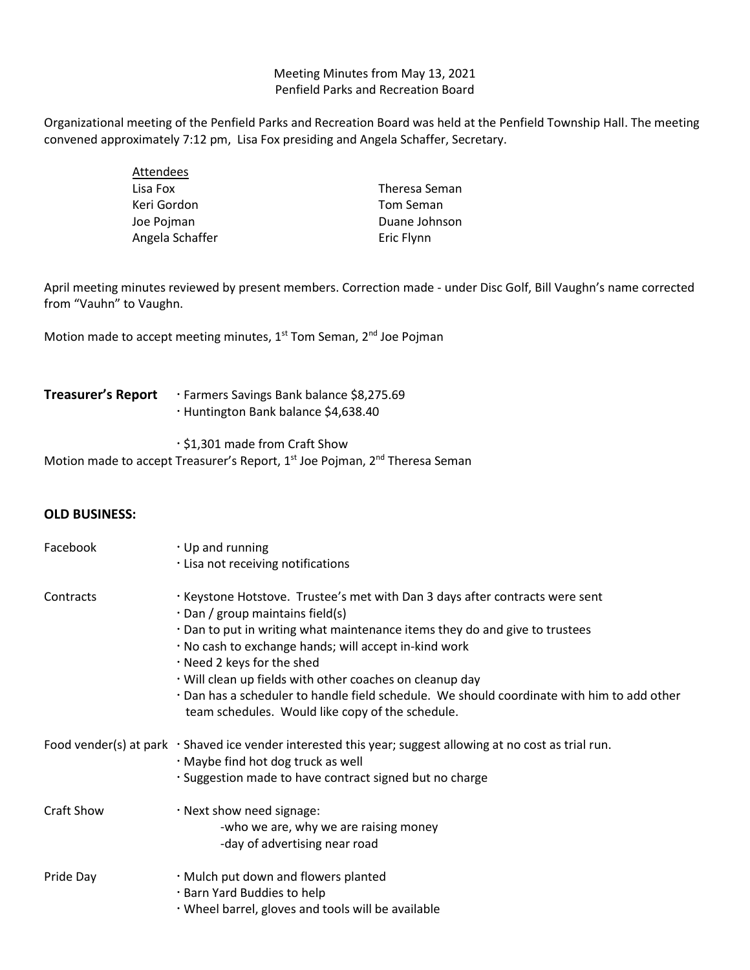Meeting Minutes from May 13, 2021 Penfield Parks and Recreation Board

Organizational meeting of the Penfield Parks and Recreation Board was held at the Penfield Township Hall. The meeting convened approximately 7:12 pm, Lisa Fox presiding and Angela Schaffer, Secretary.

| Attendees       |               |
|-----------------|---------------|
| Lisa Fox        | Theresa Seman |
| Keri Gordon     | Tom Seman     |
| Joe Pojman      | Duane Johnson |
| Angela Schaffer | Eric Flynn    |

April meeting minutes reviewed by present members. Correction made - under Disc Golf, Bill Vaughn's name corrected from "Vauhn" to Vaughn.

Motion made to accept meeting minutes, 1<sup>st</sup> Tom Seman, 2<sup>nd</sup> Joe Pojman

## Treasurer's Report **Farmers** Savings Bank balance \$8,275.69 Huntington Bank balance \$4,638.40

\$1,301 made from Craft Show

Motion made to accept Treasurer's Report, 1<sup>st</sup> Joe Pojman, 2<sup>nd</sup> Theresa Seman

## **OLD BUSINESS:**

| Facebook   | $\cdot$ Up and running<br>· Lisa not receiving notifications                                                                                                                                                                                                                                                                                                                                                                                                                                               |
|------------|------------------------------------------------------------------------------------------------------------------------------------------------------------------------------------------------------------------------------------------------------------------------------------------------------------------------------------------------------------------------------------------------------------------------------------------------------------------------------------------------------------|
| Contracts  | · Keystone Hotstove. Trustee's met with Dan 3 days after contracts were sent<br>$\cdot$ Dan / group maintains field(s)<br>. Dan to put in writing what maintenance items they do and give to trustees<br>. No cash to exchange hands; will accept in-kind work<br>. Need 2 keys for the shed<br>· Will clean up fields with other coaches on cleanup day<br>· Dan has a scheduler to handle field schedule. We should coordinate with him to add other<br>team schedules. Would like copy of the schedule. |
|            | Food vender(s) at park $\cdot$ Shaved ice vender interested this year; suggest allowing at no cost as trial run.<br>· Maybe find hot dog truck as well<br>· Suggestion made to have contract signed but no charge                                                                                                                                                                                                                                                                                          |
| Craft Show | · Next show need signage:<br>-who we are, why we are raising money<br>-day of advertising near road                                                                                                                                                                                                                                                                                                                                                                                                        |
| Pride Day  | · Mulch put down and flowers planted<br>· Barn Yard Buddies to help<br>. Wheel barrel, gloves and tools will be available                                                                                                                                                                                                                                                                                                                                                                                  |